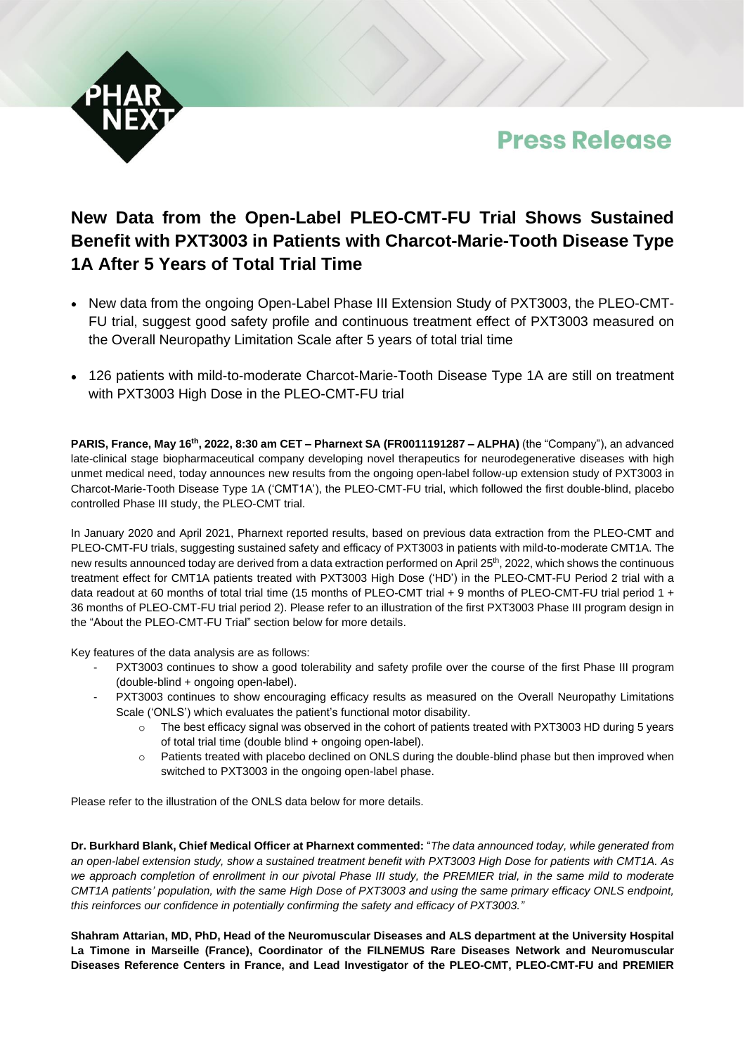



# **New Data from the Open-Label PLEO-CMT-FU Trial Shows Sustained Benefit with PXT3003 in Patients with Charcot-Marie-Tooth Disease Type 1A After 5 Years of Total Trial Time**

- New data from the ongoing Open-Label Phase III Extension Study of PXT3003, the PLEO-CMT-FU trial, suggest good safety profile and continuous treatment effect of PXT3003 measured on the Overall Neuropathy Limitation Scale after 5 years of total trial time
- 126 patients with mild-to-moderate Charcot-Marie-Tooth Disease Type 1A are still on treatment with PXT3003 High Dose in the PLEO-CMT-FU trial

**PARIS, France, May 16th, 2022, 8:30 am CET – Pharnext SA (FR0011191287 – ALPHA)** (the "Company"), an advanced late-clinical stage biopharmaceutical company developing novel therapeutics for neurodegenerative diseases with high unmet medical need, today announces new results from the ongoing open-label follow-up extension study of PXT3003 in Charcot-Marie-Tooth Disease Type 1A ('CMT1A'), the PLEO-CMT-FU trial, which followed the first double-blind, placebo controlled Phase III study, the PLEO-CMT trial.

In January 2020 and April 2021, Pharnext reported results, based on previous data extraction from the PLEO-CMT and PLEO-CMT-FU trials, suggesting sustained safety and efficacy of PXT3003 in patients with mild-to-moderate CMT1A. The new results announced today are derived from a data extraction performed on April 25<sup>th</sup>, 2022, which shows the continuous treatment effect for CMT1A patients treated with PXT3003 High Dose ('HD') in the PLEO-CMT-FU Period 2 trial with a data readout at 60 months of total trial time (15 months of PLEO-CMT trial + 9 months of PLEO-CMT-FU trial period 1 + 36 months of PLEO-CMT-FU trial period 2). Please refer to an illustration of the first PXT3003 Phase III program design in the "About the PLEO-CMT-FU Trial" section below for more details.

Key features of the data analysis are as follows:

- PXT3003 continues to show a good tolerability and safety profile over the course of the first Phase III program (double-blind + ongoing open-label).
- PXT3003 continues to show encouraging efficacy results as measured on the Overall Neuropathy Limitations Scale ('ONLS') which evaluates the patient's functional motor disability.
	- $\circ$  The best efficacy signal was observed in the cohort of patients treated with PXT3003 HD during 5 years of total trial time (double blind + ongoing open-label).
	- o Patients treated with placebo declined on ONLS during the double-blind phase but then improved when switched to PXT3003 in the ongoing open-label phase.

Please refer to the illustration of the ONLS data below for more details.

**Dr. Burkhard Blank, Chief Medical Officer at Pharnext commented:** "*The data announced today, while generated from* an open-label extension study, show a sustained treatment benefit with PXT3003 High Dose for patients with CMT1A. As we approach completion of enrollment in our pivotal Phase III study, the PREMIER trial, in the same mild to moderate CMT1A patients' population, with the same High Dose of PXT3003 and using the same primary efficacy ONLS endpoint, *this reinforces our confidence in potentially confirming the safety and efficacy of PXT3003."*

**Shahram Attarian, MD, PhD, Head of the Neuromuscular Diseases and ALS department at the University Hospital La Timone in Marseille (France), Coordinator of the FILNEMUS Rare Diseases Network and Neuromuscular Diseases Reference Centers in France, and Lead Investigator of the PLEO-CMT, PLEO-CMT-FU and PREMIER**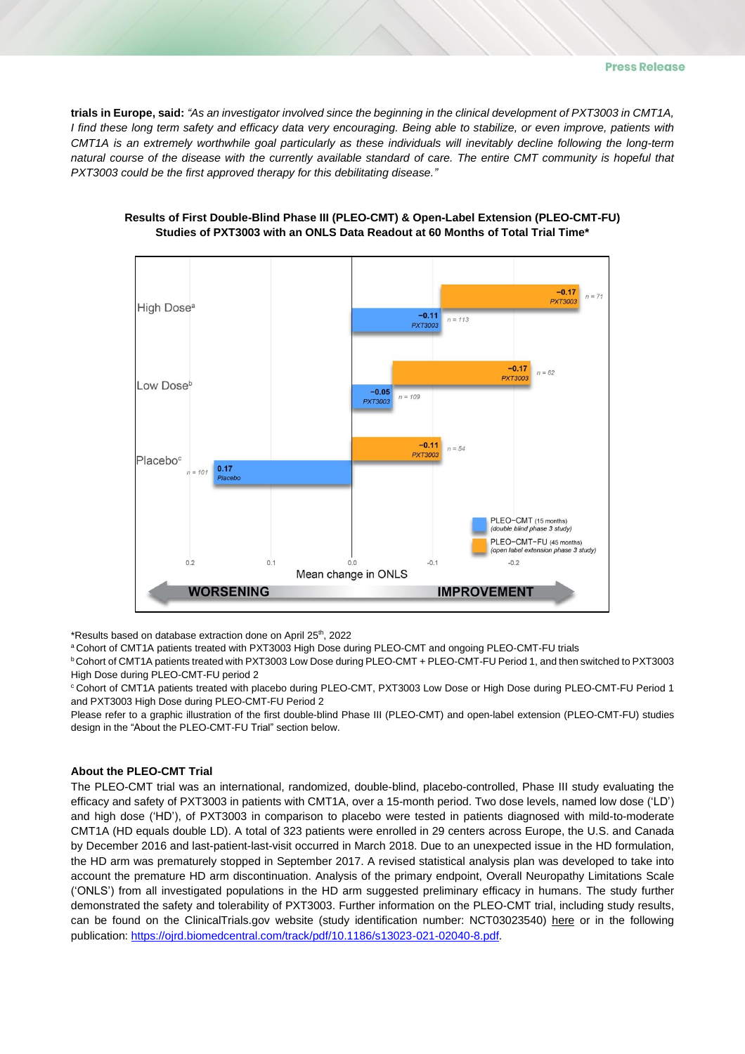trials in Europe, said: "As an investigator involved since the beginning in the clinical development of PXT3003 in CMT1A, I find these long term safety and efficacy data very encouraging. Being able to stabilize, or even improve, patients with CMT1A is an extremely worthwhile goal particularly as these individuals will inevitably decline following the long-term natural course of the disease with the currently available standard of care. The entire CMT community is hopeful that *PXT3003 could be the first approved therapy for this debilitating disease."*



## **Results of First Double-Blind Phase III (PLEO-CMT) & Open-Label Extension (PLEO-CMT-FU) Studies of PXT3003 with an ONLS Data Readout at 60 Months of Total Trial Time\***

\*Results based on database extraction done on April 25<sup>th</sup>, 2022

a Cohort of CMT1A patients treated with PXT3003 High Dose during PLEO-CMT and ongoing PLEO-CMT-FU trials

<sup>b</sup> Cohort of CMT1A patients treated with PXT3003 Low Dose during PLEO-CMT + PLEO-CMT-FU Period 1, and then switched to PXT3003 High Dose during PLEO-CMT-FU period 2

<sup>c</sup> Cohort of CMT1A patients treated with placebo during PLEO-CMT, PXT3003 Low Dose or High Dose during PLEO-CMT-FU Period 1 and PXT3003 High Dose during PLEO-CMT-FU Period 2

Please refer to a graphic illustration of the first double-blind Phase III (PLEO-CMT) and open-label extension (PLEO-CMT-FU) studies design in the "About the PLEO-CMT-FU Trial" section below.

## **About the PLEO-CMT Trial**

The PLEO-CMT trial was an international, randomized, double-blind, placebo-controlled, Phase III study evaluating the efficacy and safety of PXT3003 in patients with CMT1A, over a 15-month period. Two dose levels, named low dose ('LD') and high dose ('HD'), of PXT3003 in comparison to placebo were tested in patients diagnosed with mild-to-moderate CMT1A (HD equals double LD). A total of 323 patients were enrolled in 29 centers across Europe, the U.S. and Canada by December 2016 and last-patient-last-visit occurred in March 2018. Due to an unexpected issue in the HD formulation, the HD arm was prematurely stopped in September 2017. A revised statistical analysis plan was developed to take into account the premature HD arm discontinuation. Analysis of the primary endpoint, Overall Neuropathy Limitations Scale ('ONLS') from all investigated populations in the HD arm suggested preliminary efficacy in humans. The study further demonstrated the safety and tolerability of PXT3003. Further information on the PLEO-CMT trial, including study results, can be found on the ClinicalTrials.gov website (study identification number: NCT03023540) [here](https://clinicaltrials.gov/ct2/show/NCT02579759?cond=CMT1A&draw=2&rank=3) or in the following publication: [https://ojrd.biomedcentral.com/track/pdf/10.1186/s13023-021-02040-8.pdf.](https://ojrd.biomedcentral.com/track/pdf/10.1186/s13023-021-02040-8.pdf)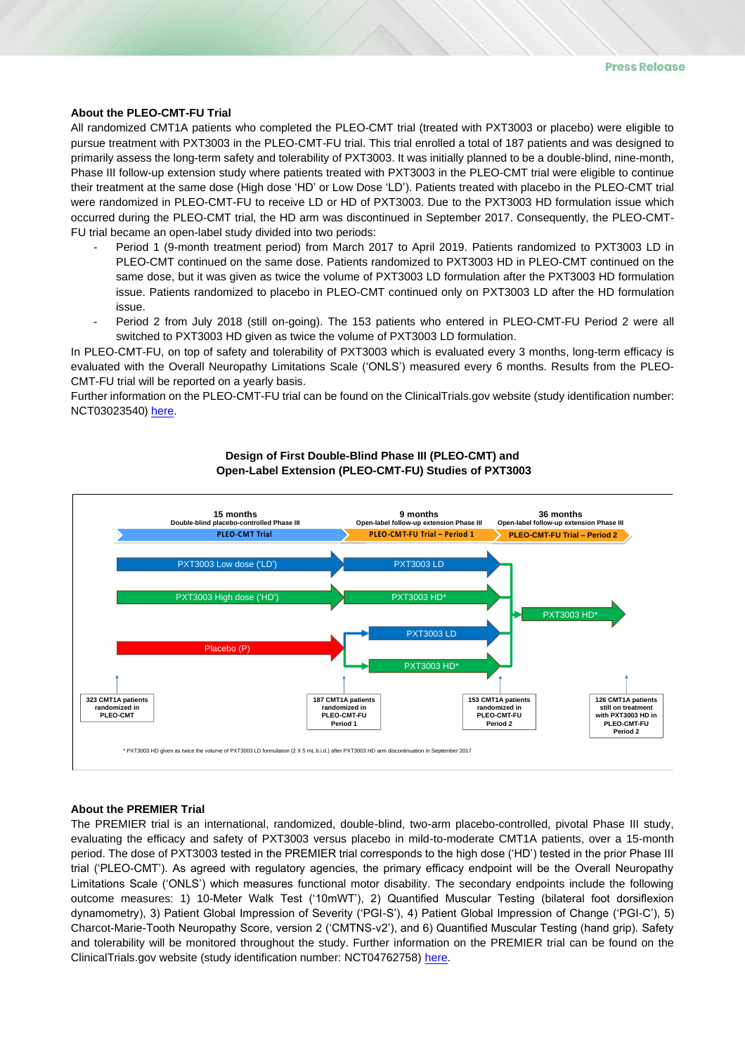#### **About the PLEO-CMT-FU Trial**

All randomized CMT1A patients who completed the PLEO-CMT trial (treated with PXT3003 or placebo) were eligible to pursue treatment with PXT3003 in the PLEO-CMT-FU trial. This trial enrolled a total of 187 patients and was designed to primarily assess the long-term safety and tolerability of PXT3003. It was initially planned to be a double-blind, nine-month, Phase III follow-up extension study where patients treated with PXT3003 in the PLEO-CMT trial were eligible to continue their treatment at the same dose (High dose 'HD' or Low Dose 'LD'). Patients treated with placebo in the PLEO-CMT trial were randomized in PLEO-CMT-FU to receive LD or HD of PXT3003. Due to the PXT3003 HD formulation issue which occurred during the PLEO-CMT trial, the HD arm was discontinued in September 2017. Consequently, the PLEO-CMT-FU trial became an open-label study divided into two periods:

- Period 1 (9-month treatment period) from March 2017 to April 2019. Patients randomized to PXT3003 LD in PLEO-CMT continued on the same dose. Patients randomized to PXT3003 HD in PLEO-CMT continued on the same dose, but it was given as twice the volume of PXT3003 LD formulation after the PXT3003 HD formulation issue. Patients randomized to placebo in PLEO-CMT continued only on PXT3003 LD after the HD formulation issue.
- Period 2 from July 2018 (still on-going). The 153 patients who entered in PLEO-CMT-FU Period 2 were all switched to PXT3003 HD given as twice the volume of PXT3003 LD formulation.

In PLEO-CMT-FU, on top of safety and tolerability of PXT3003 which is evaluated every 3 months, long-term efficacy is evaluated with the Overall Neuropathy Limitations Scale ('ONLS') measured every 6 months. Results from the PLEO-CMT-FU trial will be reported on a yearly basis.

Further information on the PLEO-CMT-FU trial can be found on the ClinicalTrials.gov website (study identification number: NCT03023540) [here.](https://clinicaltrials.gov/ct2/show/NCT03023540?cond=CMT1A&draw=3&rank=13)



## **Design of First Double-Blind Phase III (PLEO-CMT) and Open-Label Extension (PLEO-CMT-FU) Studies of PXT3003**

## **About the PREMIER Trial**

The PREMIER trial is an international, randomized, double-blind, two-arm placebo-controlled, pivotal Phase III study, evaluating the efficacy and safety of PXT3003 versus placebo in mild-to-moderate CMT1A patients, over a 15-month period. The dose of PXT3003 tested in the PREMIER trial corresponds to the high dose ('HD') tested in the prior Phase III trial ('PLEO-CMT'). As agreed with regulatory agencies, the primary efficacy endpoint will be the Overall Neuropathy Limitations Scale ('ONLS') which measures functional motor disability. The secondary endpoints include the following outcome measures: 1) 10-Meter Walk Test ('10mWT'), 2) Quantified Muscular Testing (bilateral foot dorsiflexion dynamometry), 3) Patient Global Impression of Severity ('PGI-S'), 4) Patient Global Impression of Change ('PGI-C'), 5) Charcot-Marie-Tooth Neuropathy Score, version 2 ('CMTNS-v2'), and 6) Quantified Muscular Testing (hand grip). Safety and tolerability will be monitored throughout the study. Further information on the PREMIER trial can be found on the ClinicalTrials.gov website (study identification number: NCT04762758) [here.](https://clinicaltrials.gov/ct2/show/NCT04762758?term=PXT3003&draw=2)